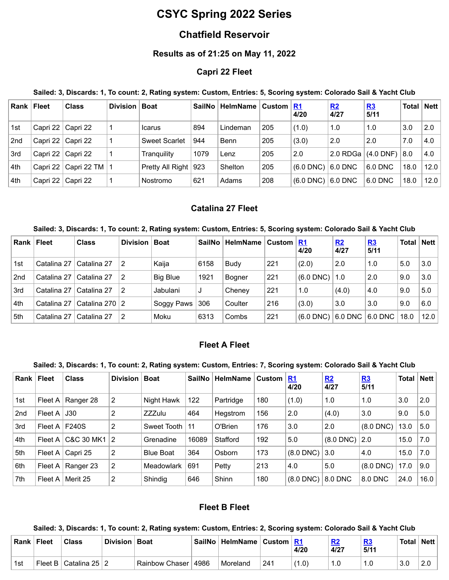# **CSYC Spring 2022 Series**

# **Chatfield Reservoir**

# **Results as of 21:25 on May 11, 2022**

### **Capri 22 Fleet**

#### Sailed: 3, Discards: 1, To count: 2, Rating system: Custom, Entries: 5, Scoring system: Colorado Sail & Yacht Club

| Rank l          | <b>Fleet</b> | <b>Class</b>               | <b>Division</b> | <b>Boat</b>            | <b>SailNo</b> | <b>HelmName</b> | Custom <u>  R1</u> | 4/20           | R2<br>4/27 | R3<br>5/11  | Total | ∣ Nett |
|-----------------|--------------|----------------------------|-----------------|------------------------|---------------|-----------------|--------------------|----------------|------------|-------------|-------|--------|
| 1st             |              | Capri 22   Capri 22        |                 | <b>Icarus</b>          | 894           | Lindeman        | 205                | (1.0)          | 1.0        | 1.0         | 3.0   | 2.0    |
| 2 <sub>nd</sub> | Capri 22     | l Capri 22                 |                 | <b>Sweet Scarlet</b>   | 944           | Benn            | 205                | (3.0)          | 2.0        | 2.0         | 7.0   | 4.0    |
| 3rd             | Capri 22     | l Capri 22                 |                 | Tranguility            | 1079          | Lenz            | 205                | 2.0            | 2.0 RDGa   | $(4.0$ DNF) | 8.0   | 4.0    |
| 4th             |              | Capri 22   Capri 22 TM   1 |                 | Pretty All Right   923 |               | Shelton         | 205                | $(6.0$ DNC)    | 6.0 DNC    | $6.0$ DNC   | 18.0  | 12.0   |
| 4th             | Capri 22     | Capri 22                   |                 | Nostromo               | 621           | Adams           | 208                | $(6.0$ DNC $)$ | $6.0$ DNC  | 6.0 DNC     | 18.0  | 12.0   |

### **Catalina 27 Fleet**

#### Sailed: 3, Discards: 1, To count: 2, Rating system: Custom, Entries: 5, Scoring system: Colorado Sail & Yacht Club

| Rank | ∣ Fleet     | <b>Class</b>      | <b>Division</b> | <b>Boat</b>     | SailNo | <b>HelmName</b> | Custom $\vert$ | <u>R1</u><br>4/20 | R2<br>4/27 | R3<br>5/11                 | <b>Total</b> | <b>Nett</b> |
|------|-------------|-------------------|-----------------|-----------------|--------|-----------------|----------------|-------------------|------------|----------------------------|--------------|-------------|
| 1st  | Catalina 27 | Catalina 27       |                 | Kaija           | 6158   | <b>Budy</b>     | 221            | (2.0)             | 2.0        | 1.0                        | 5.0          | 3.0         |
| 2nd  | Catalina 27 | Catalina 27       | 2               | <b>Big Blue</b> | 1921   | <b>Bogner</b>   | 221            | $(6.0$ DNC $)$    | 1.0        | 2.0                        | 9.0          | 3.0         |
| 3rd  | Catalina 27 | Catalina 27       | 2               | Jabulani        |        | Chenev          | 221            | 1.0               | (4.0)      | 4.0                        | 9.0          | 5.0         |
| .4th | Catalina 27 | Catalina 270 $ 2$ |                 | Soggy Paws      | 306    | Coulter         | 216            | (3.0)             | 3.0        | 3.0                        | 9.0          | 6.0         |
| 5th  | Catalina 27 | Catalina 27       | 2               | Moku            | 6313   | Combs           | 221            | $(6.0$ DNC)       |            | $6.0$ DNC $\mid$ $6.0$ DNC | 18.0         | 12.0        |

### **Fleet A Fleet**

#### Sailed: 3, Discards: 1, To count: 2, Rating system: Custom, Entries: 7, Scoring system: Colorado Sail & Yacht Club

| Rank            | Fleet   | <b>Class</b> | <b>Division</b> | <b>Boat</b>      | <b>SailNo</b> | <b>HelmName</b> | <b>Custom</b> | R1<br>4/20     | R2<br>4/27  | <u>R3</u><br>5/11 | <b>Total</b> | <b>Nett</b> |
|-----------------|---------|--------------|-----------------|------------------|---------------|-----------------|---------------|----------------|-------------|-------------------|--------------|-------------|
| 1st             | Fleet A | Ranger 28    | 2               | Night Hawk       | 122           | Partridge       | 180           | (1.0)          | 1.0         | 1.0               | 3.0          | 2.0         |
| 2 <sub>nd</sub> | Fleet A | J30          | 2               | <b>ZZZulu</b>    | 464           | Hegstrom        | 156           | 2.0            | (4.0)       | 3.0               | 9.0          | 5.0         |
| 3rd             | Fleet A | <b>F240S</b> | 2               | Sweet Tooth      | 11            | O'Brien         | 176           | 3.0            | 2.0         | $(8.0$ DNC $)$    | 13.0         | 5.0         |
| 4th             | Fleet A | C&C 30 MK1   | 2               | Grenadine        | 16089         | Stafford        | 192           | 5.0            | $(8.0$ DNC) | 2.0               | 15.0         | 7.0         |
| 5th             | Fleet A | Capri 25     | 2               | <b>Blue Boat</b> | 364           | Osborn          | 173           | $(8.0$ DNC)    | 3.0         | 4.0               | 15.0         | 7.0         |
| 6th             | Fleet A | Ranger 23    | 2               | Meadowlark       | 691           | Petty           | 213           | 4.0            | 5.0         | $(8.0$ DNC $)$    | 17.0         | 9.0         |
| 7th             | Fleet A | Merit 25     | 2               | Shindig          | 646           | Shinn           | 180           | $(8.0$ DNC $)$ | 8.0 DNC     | 8.0 DNC           | 24.0         | 16.0        |

### **Fleet B Fleet**

#### Sailed: 3, Discards: 1, To count: 2, Rating system: Custom, Entries: 2, Scoring system: Colorado Sail & Yacht Club

| Rank l | <b>Fleet</b> | <b>Class</b>                | Division | <b>Boat</b>    | SailNo | HelmName   Custom   R1 |     | 4/20  | R.<br>4/27 | <u>R3</u><br>5/11 | Total <sub>l</sub> | <b>Nett</b> |
|--------|--------------|-----------------------------|----------|----------------|--------|------------------------|-----|-------|------------|-------------------|--------------------|-------------|
| 1st    |              | ˈ Fleet B ∣ Catalina 25 ∣ 2 |          | Rainbow Chaser | 4986   | Moreland               | 241 | (1.0) |            |                   |                    | 2.0         |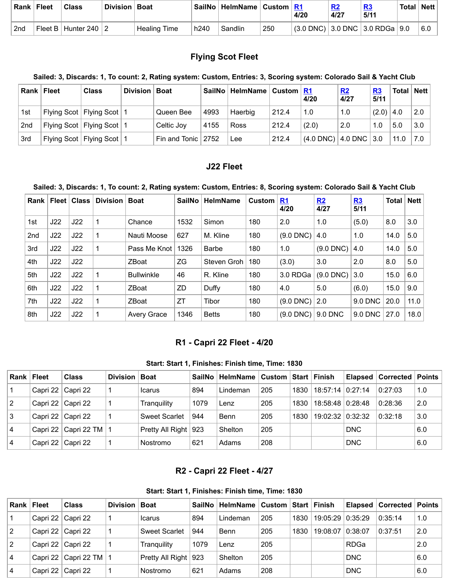| Rank | <b>Fleet</b> | Class                    | Division   Boat |                           |                  | SailNo   HelmName   Custom   R1 |     | 4/20                                      | 4/27 | 5/11 | <b>Total</b> | <b>Nett</b> |
|------|--------------|--------------------------|-----------------|---------------------------|------------------|---------------------------------|-----|-------------------------------------------|------|------|--------------|-------------|
| 2nd  |              | Fleet B   Hunter 240   2 |                 | <sup>'</sup> Healing Time | h <sub>240</sub> | Sandlin                         | 250 | $(3.0$ DNC) $ 3.0$ DNC $ 3.0$ RDGa $ 9.0$ |      |      |              | 6.0         |

# **Flying Scot Fleet**

# Sailed: 3, Discards: 1, To count: 2, Rating system: Custom, Entries: 3, Scoring system: Colorado Sail & Yacht Club

| Rank            | Fleet | <b>Class</b>                  | <b>Division</b> | <b>Boat</b>            | SailNo | ∣ HelmName ∣ | <b>Custom</b> R1 | 4/20                                          | R2<br>4/27 | R3<br>5/11 | Total <sub>l</sub> | ∣ Nett |
|-----------------|-------|-------------------------------|-----------------|------------------------|--------|--------------|------------------|-----------------------------------------------|------------|------------|--------------------|--------|
| 1st             |       | Flying Scot   Flying Scot   1 |                 | Queen Bee              | 4993   | Haerbig      | 212.4            | 1.0                                           | 1.0        | (2.0)      | 4.0                | 2.0    |
| 2 <sub>nd</sub> |       | Flying Scot   Flying Scot   1 |                 | Celtic Joy             | 4155   | <b>Ross</b>  | 212.4            | (2.0)                                         | 2.0        | 1.0        | 5.0                | 3.0    |
| 3rd             |       | Flying Scot   Flying Scot   1 |                 | Fin and Tonic $ 2752 $ |        | Lee          | 212.4            | $\vert$ (4.0 DNC) $\vert$ 4.0 DNC $\vert$ 3.0 |            |            | 11.0               | 7.0    |

# **J22 Fleet**

### Sailed: 3, Discards: 1, To count: 2, Rating system: Custom, Entries: 8, Scoring system: Colorado Sail & Yacht Club

| <b>Rank</b>     | Fleet | <b>Class</b> | Division | <b>Boat</b>        | SailNo | <b>HelmName</b> | <b>Custom</b> | R1<br>4/20  | R2<br>4/27  | R3<br>5/11 | Total | <b>Nett</b> |
|-----------------|-------|--------------|----------|--------------------|--------|-----------------|---------------|-------------|-------------|------------|-------|-------------|
| 1st             | J22   | J22          |          | Chance             | 1532   | Simon           | 180           | 2.0         | 1.0         | (5.0)      | 8.0   | 3.0         |
| 2 <sub>nd</sub> | J22   | J22          |          | Nauti Moose        | 627    | M. Kline        | 180           | $(9.0$ DNC) | 4.0         | 1.0        | 14.0  | 5.0         |
| 3rd             | J22   | J22          |          | Pass Me Knot       | 1326   | <b>Barbe</b>    | 180           | 1.0         | $(9.0$ DNC) | 4.0        | 14.0  | 5.0         |
| 4th             | J22   | J22          |          | ZBoat              | ZG     | Steven Groh     | 180           | (3.0)       | 3.0         | 2.0        | 8.0   | 5.0         |
| 5th             | J22   | J22          |          | <b>Bullwinkle</b>  | 46     | R. Kline        | 180           | 3.0 RDGa    | $(9.0$ DNC) | 3.0        | 15.0  | 6.0         |
| 6th             | J22   | J22          |          | ZBoat              | ZD     | Duffy           | 180           | 4.0         | 5.0         | (6.0)      | 15.0  | 9.0         |
| 7th             | J22   | J22          |          | <b>ZBoat</b>       | ZT     | Tibor           | 180           | $(9.0$ DNC) | 2.0         | 9.0 DNC    | 20.0  | 11.0        |
| 8th             | J22   | J22          |          | <b>Avery Grace</b> | 1346   | <b>Betts</b>    | 180           | $(9.0$ DNC) | 9.0 DNC     | $9.0$ DNC  | 27.0  | 18.0        |

### **R1 - Capri 22 Fleet - 4/20**

#### **Start: Start 1, Finishes: Finish time, Time: 1830**

<span id="page-1-0"></span>

| Rank l         | Fleet | <b>Class</b>               | Division | <b>Boat</b>            | SailNo | <b>HelmName</b> | ∣ Custom |      | <b>Start ∣Finish</b> |            | Elapsed   Corrected | $\blacksquare$ Points |
|----------------|-------|----------------------------|----------|------------------------|--------|-----------------|----------|------|----------------------|------------|---------------------|-----------------------|
|                |       | Capri 22   Capri 22        |          | <b>Icarus</b>          | 894    | Lindeman        | 205      | 1830 | $18:57:14$   0:27:14 |            | 0:27:03             | 1.0                   |
| $\overline{2}$ |       | Capri 22   Capri 22        |          | Tranguility            | 1079   | Lenz            | 205      | 1830 | 18:58:48 0:28:48     |            | 0:28:36             | 2.0                   |
| 3              |       | Capri 22   Capri 22        |          | <b>Sweet Scarlet</b>   | 944    | Benn            | 205      | 1830 | 19:02:32 0:32:32     |            | 0:32:18             | 3.0                   |
| 14             |       | Capri 22   Capri 22 TM   1 |          | Pretty All Right   923 |        | Shelton         | 205      |      |                      | <b>DNC</b> |                     | 6.0                   |
| 4              |       | Capri 22   Capri 22        |          | Nostromo               | 621    | Adams           | 208      |      |                      | <b>DNC</b> |                     | 6.0                   |

# **R2 - Capri 22 Fleet - 4/27**

#### **Start: Start 1, Finishes: Finish time, Time: 1830**

<span id="page-1-1"></span>

| Rank l         | <b>Fleet</b>        | <b>Class</b>               | Division | <b>Boat</b>            |      | SailNo   HelmName | <b>Custom</b> |      | <b>Start Finish</b> |             | <b>Elapsed   Corrected   Points</b> |     |
|----------------|---------------------|----------------------------|----------|------------------------|------|-------------------|---------------|------|---------------------|-------------|-------------------------------------|-----|
|                | Capri 22   Capri 22 |                            |          | Icarus                 | 894  | Lindeman          | 205           | 1830 | 19:05:29 0:35:29    |             | 0:35:14                             | 1.0 |
| 2              |                     | Capri 22   Capri 22        |          | <b>Sweet Scarlet</b>   | 944  | Benn              | 205           | 1830 | 19:08:07 0:38:07    |             | 0:37:51                             | 2.0 |
| $\overline{2}$ |                     | Capri 22   Capri 22        |          | Tranguilitv            | 1079 | Lenz              | 205           |      |                     | <b>RDGa</b> |                                     | 2.0 |
| $\overline{4}$ |                     | Capri 22   Capri 22 TM   1 |          | Pretty All Right   923 |      | Shelton           | 205           |      |                     | <b>DNC</b>  |                                     | 6.0 |
| 4              |                     | Capri 22   Capri 22        |          | Nostromo               | 621  | Adams             | 208           |      |                     | <b>DNC</b>  |                                     | 6.0 |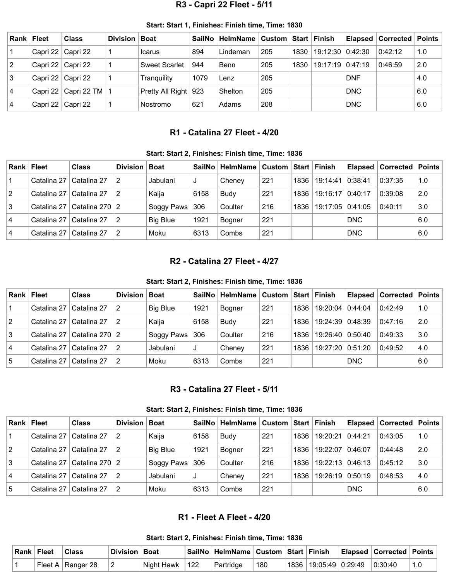# **R3 - Capri 22 Fleet - 5/11**

<span id="page-2-0"></span>

| Rank   Fleet   |                      | <b>Class</b>               | Division | <b>Boat</b>            | SailNo |          |     | ∣Start I | ∣ Finish         |            | Elapsed   Corrected | <b>Points</b> |
|----------------|----------------------|----------------------------|----------|------------------------|--------|----------|-----|----------|------------------|------------|---------------------|---------------|
| $\mathbf{1}$   |                      | Capri 22   Capri 22        |          | <b>Icarus</b>          | 894    | Lindeman | 205 | 1830     | 19:12:30 0:42:30 |            | 0.42:12             | 1.0           |
| $\overline{2}$ | Capri 22   Capri 22  |                            |          | <b>Sweet Scarlet</b>   | 944    | Benn     | 205 | 1830     | 19:17:19 0:47:19 |            | 0:46:59             | 2.0           |
| 3              | Capri 22   Capri 22  |                            |          | Tranquility            | 1079   | Lenz     | 205 |          |                  | <b>DNF</b> |                     | 4.0           |
| 4              |                      | Capri 22   Capri 22 TM   1 |          | Pretty All Right   923 |        | Shelton  | 205 |          |                  | <b>DNC</b> |                     | 6.0           |
| 4              | ⊦Capri 22   Capri 22 |                            |          | Nostromo               | 621    | Adams    | 208 |          |                  | <b>DNC</b> |                     | 6.0           |

#### **Start: Start 1, Finishes: Finish time, Time: 1830**

## **R1 - Catalina 27 Fleet - 4/20**

#### **Start: Start 2, Finishes: Finish time, Time: 1836**

<span id="page-2-1"></span>

|                | Rank   Fleet | <b>Class</b>       | Division   Boat |                 | <b>SailNo</b> ∣ | <b>HelmName</b> | ∣Custom ∣Start ∣Finish |      |                    |            | <b>Elapsed   Corrected   Points  </b> |     |
|----------------|--------------|--------------------|-----------------|-----------------|-----------------|-----------------|------------------------|------|--------------------|------------|---------------------------------------|-----|
|                | Catalina 27  | Catalina 27        |                 | Jabulani        | J               | Chenev          | 221                    | 1836 | 19:14:41           | 0:38:41    | 0:37:35                               | 1.0 |
| $\sqrt{2}$     | Catalina 27  | Catalina 27        |                 | Kaija           | 6158            | <b>Budy</b>     | 221                    | 1836 | $19:16:17$ 0:40:17 |            | 0:39:08                               | 2.0 |
| 3              | Catalina 27  | l Catalina 270 ∣ 2 |                 | Soggy Paws      | 306             | Coulter         | 216                    | 1836 | 19:17:05 0:41:05   |            | 0:40:11                               | 3.0 |
| $\overline{4}$ | Catalina 27  | Catalina 27        |                 | <b>Big Blue</b> | 1921            | <b>Bogner</b>   | 221                    |      |                    | <b>DNC</b> |                                       | 6.0 |
| $\overline{4}$ | Catalina 27  | Catalina 27        |                 | Moku            | 6313            | Combs           | 221                    |      |                    | <b>DNC</b> |                                       | 6.0 |

#### **R2 - Catalina 27 Fleet - 4/27**

#### **Start: Start 2, Finishes: Finish time, Time: 1836**

<span id="page-2-2"></span>

| Rank l         | <b>Fleet</b> | <b>Class</b>      | Division | <b>Boat</b>     | <b>SailNo</b> | HelmName   Custom   Start   Finish |     |      |                  | <b>Elapsed</b> | <b>Corrected   Points</b> |     |
|----------------|--------------|-------------------|----------|-----------------|---------------|------------------------------------|-----|------|------------------|----------------|---------------------------|-----|
|                | Catalina 27  | Catalina 27       |          | <b>Big Blue</b> | 1921          | Bogner                             | 221 | 1836 | 19:20:04         | 0.44:04        | 0:42:49                   | 1.0 |
| $\overline{2}$ | Catalina 27  | Catalina 27       |          | Kaiia           | 6158          | <b>Budy</b>                        | 221 | 1836 | 19:24:39         | 0.48:39        | 0:47:16                   | 2.0 |
| 3              | Catalina 27  | Catalina 270 $ 2$ |          | Soggy Paws      | 306           | Coulter                            | 216 | 1836 | 19:26:40 0:50:40 |                | 0:49:33                   | 3.0 |
| 4              | Catalina 27  | Catalina 27       |          | Jabulani        | J             | Chenev                             | 221 | 1836 | 19:27:20         | 0:51:20        | 0:49:52                   | 4.0 |
| 5              | Catalina 27  | Catalina 27       |          | Moku            | 6313          | Combs                              | 221 |      |                  | <b>DNC</b>     |                           | 6.0 |

#### **R3 - Catalina 27 Fleet - 5/11**

**Start: Start 2, Finishes: Finish time, Time: 1836**

<span id="page-2-3"></span>

| Rank l         | <b>Fleet</b> | <b>Class</b>      | Division   Boat |                 | SailNo | HelmName      |     |      | Start Finish     |            | Elapsed   Corrected | Points |
|----------------|--------------|-------------------|-----------------|-----------------|--------|---------------|-----|------|------------------|------------|---------------------|--------|
|                | Catalina 27  | Catalina 27       |                 | Kaija           | 6158   | Budy          | 221 | 1836 | 19:20:21         | 0:44:21    | 0:43:05             | 1.0    |
| $\overline{2}$ | Catalina 27  | Catalina 27       |                 | <b>Big Blue</b> | 1921   | <b>Bogner</b> | 221 | 1836 | 19:22:07         | 0.46:07    | 0:44:48             | 2.0    |
| 3              | Catalina 27  | Catalina 270 $ 2$ |                 | Soggy Paws      | 306    | Coulter       | 216 | 1836 | 19:22:13 0:46:13 |            | 0:45:12             | 3.0    |
| 4              | Catalina 27  | Catalina 27       |                 | Jabulani        | J      | Chenev        | 221 | 1836 | 19:26:19 0:50:19 |            | 0:48:53             | 4.0    |
| <u>5</u>       | Catalina 27  | Catalina 27       |                 | Moku            | 6313   | Combs         | 221 |      |                  | <b>DNC</b> |                     | 6.0    |

### **R1 - Fleet A Fleet - 4/20**

**Start: Start 2, Finishes: Finish time, Time: 1836**

<span id="page-2-4"></span>

| Rank Fleet | <b>ˈClass</b>       | Division   Boat |                    | SailNo   HelmName   Custom   Start   Finish |     |  |                                       | <b>Elapsed Corrected Points</b> |  |
|------------|---------------------|-----------------|--------------------|---------------------------------------------|-----|--|---------------------------------------|---------------------------------|--|
|            | Fleet A   Ranger 28 |                 | Night Hawk $ 122 $ | <sup>⊦</sup> Partridɑe                      | 180 |  | $1836$   19:05:49   0:29:49   0:30:40 |                                 |  |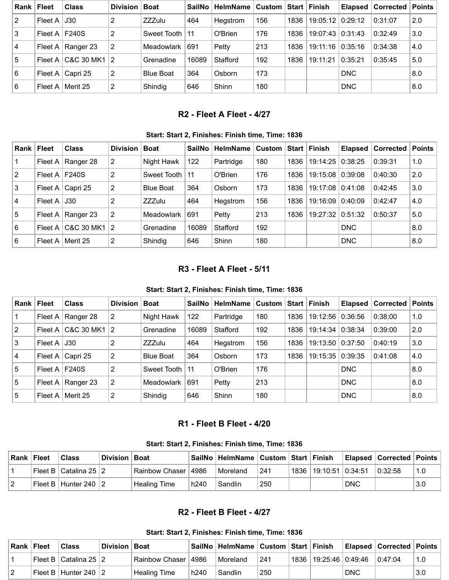| <b>Rank</b> | <b>Fleet</b>      | <b>Class</b>             | <b>Division</b> | <b>Boat</b>      | SailNo | <b>HelmName</b> | Custom ∣ Start ∣ |      | <b>Finish</b>           | Elapsed $ $ | Corrected | Points |
|-------------|-------------------|--------------------------|-----------------|------------------|--------|-----------------|------------------|------|-------------------------|-------------|-----------|--------|
| 2           | Fleet A           | J30                      | 2               | <b>ZZZulu</b>    | 464    | Hegstrom        | 156              | 1836 | 19:05:12 0:29:12        |             | 0:31:07   | 2.0    |
| 3           | Fleet A $ F240S $ |                          | 2               | Sweet Tooth      | 11     | O'Brien         | 176              | 1836 | $19:07:43 \mid 0:31:43$ |             | 0:32:49   | 3.0    |
| 4           |                   | Fleet A   Ranger 23      | 2               | Meadowlark       | 691    | Petty           | 213              | 1836 | 19:11:16                | 0:35:16     | 0:34:38   | 4.0    |
| 5           | Fleet $A \mid$    | C&C 30 MK1               | 2               | Grenadine        | 16089  | Stafford        | 192              | 1836 | 19:11:21                | 0:35:21     | 0:35:45   | 5.0    |
| 6           |                   | Fleet A $\vert$ Capri 25 | 2               | <b>Blue Boat</b> | 364    | Osborn          | 173              |      |                         | <b>DNC</b>  |           | 8.0    |
| 6           | Fleet $A \mid$    | Merit 25                 | 2               | Shindig          | 646    | Shinn           | 180              |      |                         | <b>DNC</b>  |           | 8.0    |

# **R2 - Fleet A Fleet - 4/27**

#### **Start: Start 2, Finishes: Finish time, Time: 1836**

<span id="page-3-0"></span>

| Rank            | Fleet           | <b>Class</b> | <b>Division</b> | <b>Boat</b>      | SailNo | <b>HelmName</b> | <b>Custom</b> |      | Start   Finish | Elapsed    | ∣ Corrected ∣ | Points |
|-----------------|-----------------|--------------|-----------------|------------------|--------|-----------------|---------------|------|----------------|------------|---------------|--------|
|                 | Fleet A $ $     | Ranger 28    | 2               | Night Hawk       | 122    | Partridge       | 180           | 1836 | 19:14:25       | 0:38:25    | 0:39:31       | 1.0    |
| $\vert 2 \vert$ | Fleet A $\vert$ | <b>F240S</b> | 2               | Sweet Tooth      | -11    | O'Brien         | 176           | 1836 | 19:15:08       | 0.39:08    | 0:40:30       | 2.0    |
| 3               | Fleet A         | Capri 25     | 2               | <b>Blue Boat</b> | 364    | Osborn          | 173           | 1836 | 19:17:08       | 0:41:08    | 0:42:45       | 3.0    |
| 4               | Fleet A         | J30          | 2               | <b>ZZZulu</b>    | 464    | Hegstrom        | 156           | 1836 | 19:16:09       | 0:40:09    | 0:42:47       | 4.0    |
| $5\,$           | Fleet A $ $     | Ranger 23    | 2               | Meadowlark       | 691    | Petty           | 213           | 1836 | 19:27:32       | 0:51:32    | 0:50:37       | 5.0    |
| 6               | Fleet A         | C&C 30 MK1   | $\vert 2 \vert$ | Grenadine        | 16089  | Stafford        | 192           |      |                | <b>DNC</b> |               | 8.0    |
| 6               | Fleet A         | Merit 25     | 2               | Shindig          | 646    | Shinn           | 180           |      |                | <b>DNC</b> |               | 8.0    |

# **R3 - Fleet A Fleet - 5/11**

### **Start: Start 2, Finishes: Finish time, Time: 1836**

<span id="page-3-1"></span>

| Rank           | ∣ Fleet | <b>Class</b> | <b>Division</b> | <b>Boat</b>      | SailNo | <b>HelmName</b> |     | <b>Start</b> | <b>Finish</b>    | <b>Elapsed</b> | <b>Corrected</b> | <b>Points</b> |
|----------------|---------|--------------|-----------------|------------------|--------|-----------------|-----|--------------|------------------|----------------|------------------|---------------|
|                | Fleet A | Ranger 28    | 2               | Night Hawk       | 122    | Partridge       | 180 | 1836         | 19:12:56         | 0:36:56        | 0:38:00          | 1.0           |
| 2              | Fleet A | C&C 30 MK1   | $\overline{2}$  | Grenadine        | 16089  | Stafford        | 192 | 1836         | 19:14:34         | 0:38:34        | 0:39:00          | 2.0           |
| 3              | Fleet A | J30          | 2               | <b>ZZZulu</b>    | 464    | Hegstrom        | 156 | 1836         | 19:13:50         | 0:37:50        | 0:40:19          | 3.0           |
| $\overline{4}$ | Fleet A | Capri 25     | 2               | <b>Blue Boat</b> | 364    | Osborn          | 173 | 1836         | 19:15:35 0:39:35 |                | 0:41:08          | 4.0           |
| $\overline{5}$ | Fleet A | <b>F240S</b> | 2               | Sweet Tooth      | -11    | O'Brien         | 176 |              |                  | <b>DNC</b>     |                  | 8.0           |
| 5              | Fleet A | Ranger 23    | 2               | Meadowlark       | 691    | Petty           | 213 |              |                  | <b>DNC</b>     |                  | 8.0           |
| 5              | Fleet A | Merit 25     | 2               | Shindig          | 646    | Shinn           | 180 |              |                  | <b>DNC</b>     |                  | 8.0           |

# **R1 - Fleet B Fleet - 4/20**

**Start: Start 2, Finishes: Finish time, Time: 1836**

<span id="page-3-2"></span>

| ∣ Rank ∣ Fleet | Class                                | Division Boat |                       |      | SailNo   HelmName   Custom   Start   Finish |     |          |                    |            | Elapsed Corrected Points |     |
|----------------|--------------------------------------|---------------|-----------------------|------|---------------------------------------------|-----|----------|--------------------|------------|--------------------------|-----|
|                | l Fleet B l Catalina 25 ∣ 2 l        |               | Rainbow Chaser   4986 |      | Moreland                                    | 241 | ່ 1836 ⊺ | 19:10:51   0:34:51 |            | 0:32:58                  | 1.0 |
|                | <sup>i</sup> Fleet B∃Hunter 240 ∃2 l |               | <b>Healing Time</b>   | h240 | Sandlin                                     | 250 |          |                    | <b>DNC</b> |                          | 3.0 |

# **R2 - Fleet B Fleet - 4/27**

**Start: Start 2, Finishes: Finish time, Time: 1836**

<span id="page-3-3"></span>

| Rank Fleet | Class                                 | Division   Boat |                       |                  | SailNo   HelmName   Custom   Start   Finish |     |                                        |            |         |     |
|------------|---------------------------------------|-----------------|-----------------------|------------------|---------------------------------------------|-----|----------------------------------------|------------|---------|-----|
|            | Fleet B $\vert$ Catalina 25 $\vert$ 2 |                 | Rainbow Chaser   4986 |                  | Moreland                                    | 241 | <sup>⊦</sup> 1836   19:25:46   0:49:46 |            | 0.47:04 | 1.0 |
|            | Fleet B   Hunter 240 $\vert$ 2        |                 | <b>Healing Time</b>   | h <sub>240</sub> | Sandlin                                     | 250 |                                        | <b>DNC</b> |         | 3.0 |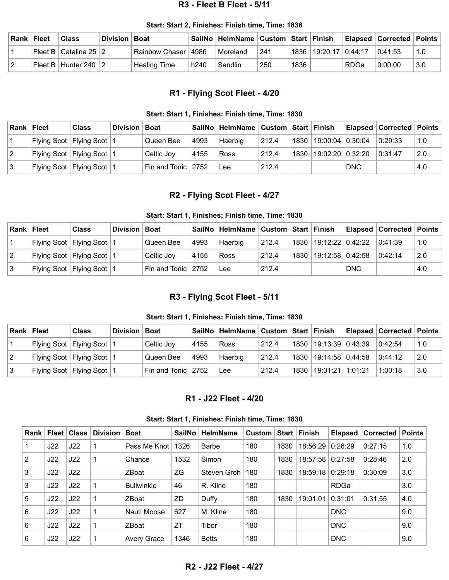#### **R3 - Fleet B Fleet - 5/11**

<span id="page-4-0"></span>

| Rank Fleet | Class                         | Division   Boat |                       |      | SailNo   HelmName   Custom   Start   Finish |     |          |                  |             | Elapsed   Corrected   Points |     |
|------------|-------------------------------|-----------------|-----------------------|------|---------------------------------------------|-----|----------|------------------|-------------|------------------------------|-----|
|            | ' Fleet B l Catalina 25 I 2 l |                 | Rainbow Chaser   4986 |      | Moreland                                    | 241 | $1836$ . | 19:20:17 0:44:17 |             | 0:41:53                      | 1.0 |
|            | Fleet B   Hunter 240   2      |                 | Healing Time          | h240 | Sandlin                                     | 250 | 1836     |                  | <b>RDGa</b> | 0:00:00                      | 3.0 |

# **R1 - Flying Scot Fleet - 4/20**

#### **Start: Start 1, Finishes: Finish time, Time: 1830**

<span id="page-4-1"></span>

| <b>Rank Fleet</b> |                               | <b>Class</b>                  | Division   Boat |                        |      | SailNo   HelmName   Custom   Start   Finish |       |      |                    |            | Elapsed   Corrected   Points |     |
|-------------------|-------------------------------|-------------------------------|-----------------|------------------------|------|---------------------------------------------|-------|------|--------------------|------------|------------------------------|-----|
|                   | Flying Scot   Flying Scot   1 |                               |                 | Queen Bee              | 4993 | Haerbig                                     | 212.4 | 1830 | 19:00:04   0:30:04 |            | 0:29:33                      | 1.0 |
|                   |                               | Flying Scot   Flying Scot   1 |                 | Celtic Jov             | 4155 | Ross                                        | 212.4 | 1830 | 19:02:20   0:32:20 |            | 0:31:47                      | 2.0 |
|                   |                               | Flying Scot   Flying Scot   1 |                 | Fin and Tonic $ 2752 $ |      | Lee                                         | 212.4 |      |                    | <b>DNC</b> |                              | 4.0 |

# **R2 - Flying Scot Fleet - 4/27**

#### **Start: Start 1, Finishes: Finish time, Time: 1830**

<span id="page-4-2"></span>

| Rank | Fleet | <b>Class</b>                  | Division | ∣ Boat                 |      | SailNo   HelmName   Custom   Start   Finish |       |      |                           |            | <b>Elapsed   Corrected   Points</b> |     |
|------|-------|-------------------------------|----------|------------------------|------|---------------------------------------------|-------|------|---------------------------|------------|-------------------------------------|-----|
|      |       | Flying Scot   Flying Scot   1 |          | Queen Bee              | 4993 | Haerbig                                     | 212.4 |      | 1830   19:12:22   0:42:22 |            | 0:41:39                             | 1.0 |
|      |       | Flying Scot   Flying Scot   1 |          | Celtic Joy             | 4155 | Ross                                        | 212.4 | 1830 | $19:12:58$ 0:42:58        |            | 0:42:14                             | 2.0 |
|      |       | Flying Scot   Flying Scot   1 |          | Fin and Tonic $ 2752 $ |      | Lee                                         | 212.4 |      |                           | <b>DNC</b> |                                     | 4.0 |

# **R3 - Flying Scot Fleet - 5/11**

#### **Start: Start 1, Finishes: Finish time, Time: 1830**

<span id="page-4-3"></span>

| ∣Rank ∣ Fleet | <b>Class</b>                  | Division Boat |                        |      | SailNo   HelmName   Custom |       |      | ∣Start ∣Finish            |         | Elapsed   Corrected   Points |     |
|---------------|-------------------------------|---------------|------------------------|------|----------------------------|-------|------|---------------------------|---------|------------------------------|-----|
|               | Flying Scot   Flying Scot   1 |               | Celtic Joy             | 4155 | Ross                       | 212.4 |      | 1830   19:13:39   0:43:39 |         | 0:42:54                      | 1.0 |
|               | Flying Scot   Flying Scot   1 |               | Queen Bee              | 4993 | Haerbig                    | 212.4 |      | 1830   19:14:58   0:44:58 |         | 0:44:12                      | 2.0 |
|               | Flying Scot   Flying Scot   1 |               | Fin and Tonic $ 2752 $ |      | Lee                        | 212.4 | 1830 | 19:31:21                  | 1:01:21 | 1:00:18                      | 3.0 |

### **R1 - J22 Fleet - 4/20**

**Start: Start 1, Finishes: Finish time, Time: 1830**

<span id="page-4-5"></span><span id="page-4-4"></span>

| Rank |     | Fleet   Class | Division | <b>Boat</b>        | <b>SailNo</b> | <b>HelmName</b> | Custom | Start l | Finish   | <b>Elapsed</b> | Corrected | ∣ Points |
|------|-----|---------------|----------|--------------------|---------------|-----------------|--------|---------|----------|----------------|-----------|----------|
|      | J22 | J22           |          | Pass Me Knot       | 1326          | <b>Barbe</b>    | 180    | 1830    | 18:56:29 | 0:26:29        | 0:27:15   | 1.0      |
| 2    | J22 | J22           |          | Chance             | 1532          | Simon           | 180    | 1830    | 18:57:58 | 0:27:58        | 0:28:46   | 2.0      |
| 3    | J22 | J22           |          | <b>ZBoat</b>       | ZG            | Steven Groh     | 180    | 1830    | 18:59:18 | 0:29:18        | 0:30:09   | 3.0      |
| 3    | J22 | J22           |          | <b>Bullwinkle</b>  | 46            | R. Kline        | 180    |         |          | <b>RDGa</b>    |           | 3.0      |
| 5    | J22 | J22           |          | <b>ZBoat</b>       | <b>ZD</b>     | Duffy           | 180    | 1830    | 19:01:01 | 0:31:01        | 0:31:55   | 4.0      |
| 6    | J22 | J22           |          | Nauti Moose        | 627           | M. Kline        | 180    |         |          | <b>DNC</b>     |           | 9.0      |
| 6    | J22 | J22           |          | ZBoat              | ZT            | Tibor           | 180    |         |          | <b>DNC</b>     |           | 9.0      |
| 6    | J22 | J22           |          | <b>Avery Grace</b> | 1346          | <b>Betts</b>    | 180    |         |          | <b>DNC</b>     |           | 9.0      |

### **R2 - J22 Fleet - 4/27**